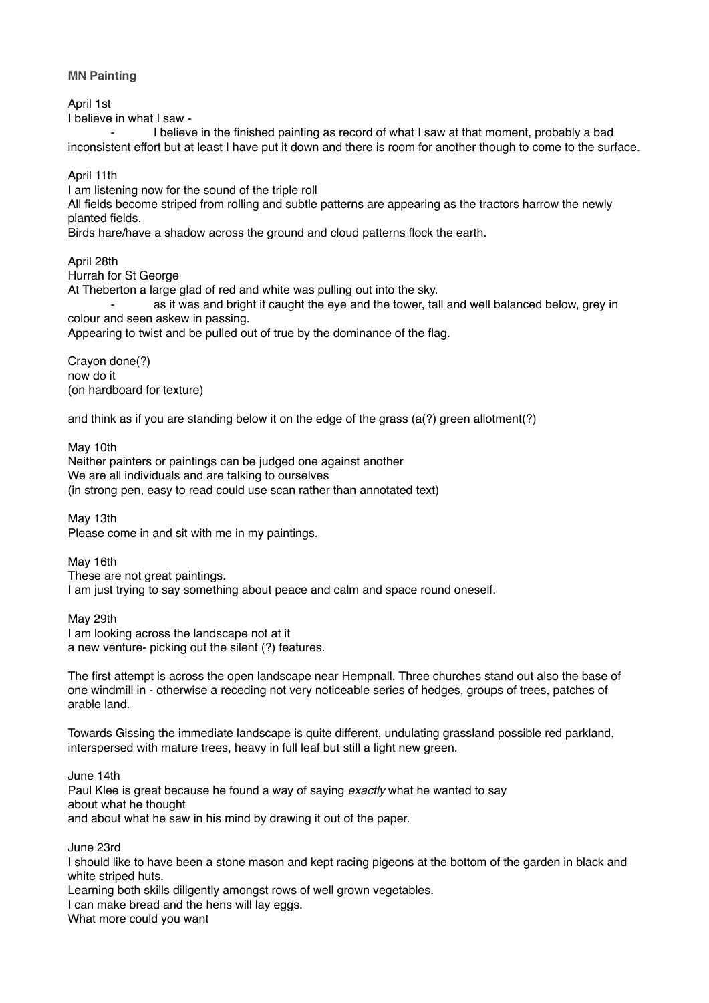**MN Painting**

April 1st

I believe in what I saw -

I believe in the finished painting as record of what I saw at that moment, probably a bad inconsistent effort but at least I have put it down and there is room for another though to come to the surface.

April 11th

I am listening now for the sound of the triple roll

All fields become striped from rolling and subtle patterns are appearing as the tractors harrow the newly planted fields.

Birds hare/have a shadow across the ground and cloud patterns flock the earth.

April 28th Hurrah for St George

At Theberton a large glad of red and white was pulling out into the sky. as it was and bright it caught the eye and the tower, tall and well balanced below, grey in colour and seen askew in passing.

Appearing to twist and be pulled out of true by the dominance of the flag.

Crayon done(?) now do it (on hardboard for texture)

and think as if you are standing below it on the edge of the grass  $(a?)$  green allotment(?)

May 10th Neither painters or paintings can be judged one against another We are all individuals and are talking to ourselves (in strong pen, easy to read could use scan rather than annotated text)

May 13th Please come in and sit with me in my paintings.

May 16th These are not great paintings. I am just trying to say something about peace and calm and space round oneself.

May 29th I am looking across the landscape not at it a new venture- picking out the silent (?) features.

The first attempt is across the open landscape near Hempnall. Three churches stand out also the base of one windmill in - otherwise a receding not very noticeable series of hedges, groups of trees, patches of arable land.

Towards Gissing the immediate landscape is quite different, undulating grassland possible red parkland, interspersed with mature trees, heavy in full leaf but still a light new green.

June 14th Paul Klee is great because he found a way of saying *exactly* what he wanted to say about what he thought and about what he saw in his mind by drawing it out of the paper.

June 23rd

I should like to have been a stone mason and kept racing pigeons at the bottom of the garden in black and white striped huts.

Learning both skills diligently amongst rows of well grown vegetables.

I can make bread and the hens will lay eggs.

What more could you want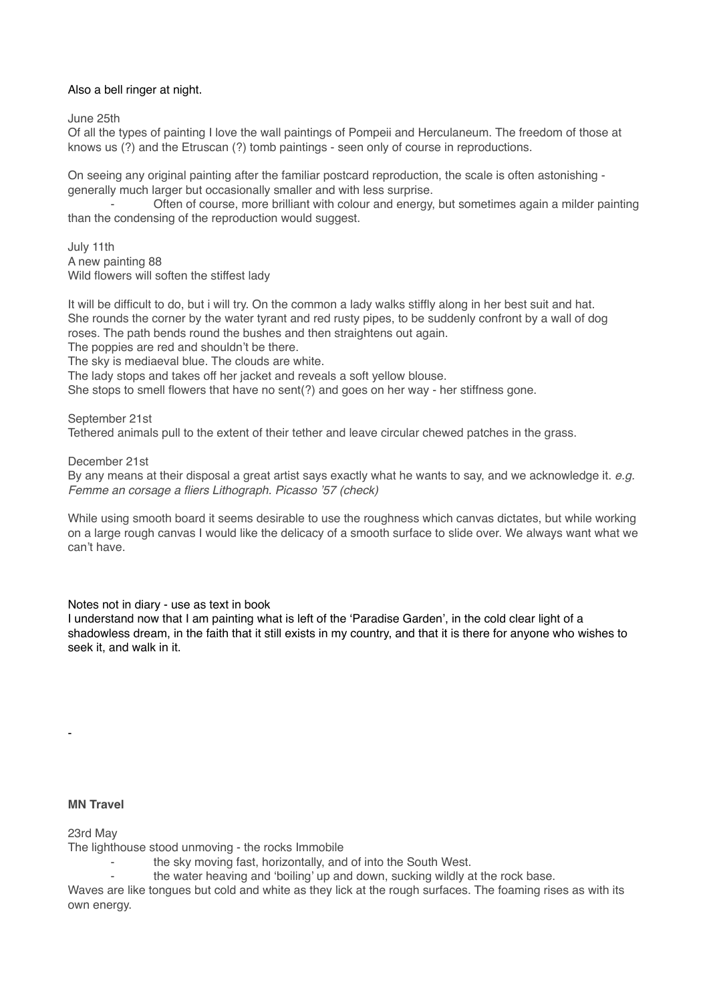# Also a bell ringer at night.

June 25th

Of all the types of painting I love the wall paintings of Pompeii and Herculaneum. The freedom of those at knows us (?) and the Etruscan (?) tomb paintings - seen only of course in reproductions.

On seeing any original painting after the familiar postcard reproduction, the scale is often astonishing generally much larger but occasionally smaller and with less surprise.

Often of course, more brilliant with colour and energy, but sometimes again a milder painting than the condensing of the reproduction would suggest.

July 11th A new painting 88 Wild flowers will soften the stiffest lady

It will be difficult to do, but i will try. On the common a lady walks stiffly along in her best suit and hat. She rounds the corner by the water tyrant and red rusty pipes, to be suddenly confront by a wall of dog roses. The path bends round the bushes and then straightens out again.

The poppies are red and shouldn't be there.

The sky is mediaeval blue. The clouds are white.

The lady stops and takes off her jacket and reveals a soft yellow blouse.

She stops to smell flowers that have no sent(?) and goes on her way - her stiffness gone.

September 21st Tethered animals pull to the extent of their tether and leave circular chewed patches in the grass.

December 21st

By any means at their disposal a great artist says exactly what he wants to say, and we acknowledge it. *e.g. Femme an corsage a fliers Lithograph. Picasso '57 (check)*

While using smooth board it seems desirable to use the roughness which canvas dictates, but while working on a large rough canvas I would like the delicacy of a smooth surface to slide over. We always want what we can't have.

Notes not in diary - use as text in book

I understand now that I am painting what is left of the 'Paradise Garden', in the cold clear light of a shadowless dream, in the faith that it still exists in my country, and that it is there for anyone who wishes to seek it, and walk in it.

#### **MN Travel**

-

23rd May

The lighthouse stood unmoving - the rocks Immobile

- the sky moving fast, horizontally, and of into the South West.
	- the water heaving and 'boiling' up and down, sucking wildly at the rock base.

Waves are like tongues but cold and white as they lick at the rough surfaces. The foaming rises as with its own energy.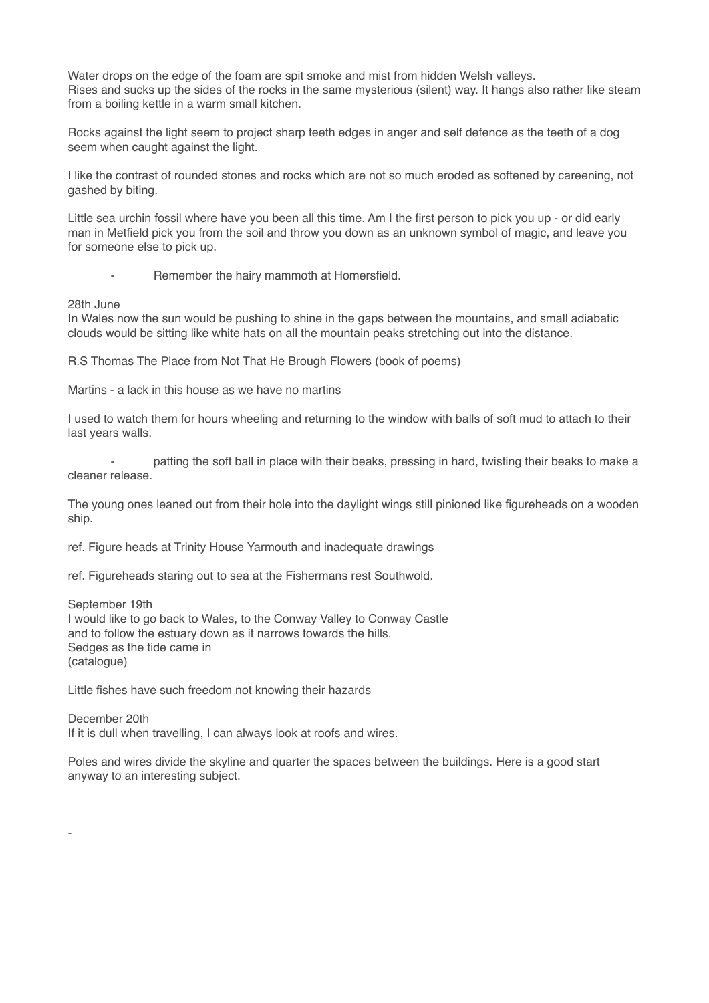Water drops on the edge of the foam are spit smoke and mist from hidden Welsh valleys. Rises and sucks up the sides of the rocks in the same mysterious (silent) way. It hangs also rather like steam from a boiling kettle in a warm small kitchen.

Rocks against the light seem to project sharp teeth edges in anger and self defence as the teeth of a dog seem when caught against the light.

I like the contrast of rounded stones and rocks which are not so much eroded as softened by careening, not gashed by biting.

Little sea urchin fossil where have you been all this time. Am I the first person to pick you up - or did early man in Metfield pick you from the soil and throw you down as an unknown symbol of magic, and leave you for someone else to pick up.

Remember the hairy mammoth at Homersfield.

28th June

-

In Wales now the sun would be pushing to shine in the gaps between the mountains, and small adiabatic clouds would be sitting like white hats on all the mountain peaks stretching out into the distance.

R.S Thomas The Place from Not That He Brough Flowers (book of poems)

Martins - a lack in this house as we have no martins

I used to watch them for hours wheeling and returning to the window with balls of soft mud to attach to their last years walls.

patting the soft ball in place with their beaks, pressing in hard, twisting their beaks to make a cleaner release.

The young ones leaned out from their hole into the daylight wings still pinioned like figureheads on a wooden ship.

ref. Figure heads at Trinity House Yarmouth and inadequate drawings

ref. Figureheads staring out to sea at the Fishermans rest Southwold.

September 19th I would like to go back to Wales, to the Conway Valley to Conway Castle and to follow the estuary down as it narrows towards the hills. Sedges as the tide came in (catalogue)

Little fishes have such freedom not knowing their hazards

December 20th If it is dull when travelling, I can always look at roofs and wires.

Poles and wires divide the skyline and quarter the spaces between the buildings. Here is a good start anyway to an interesting subject.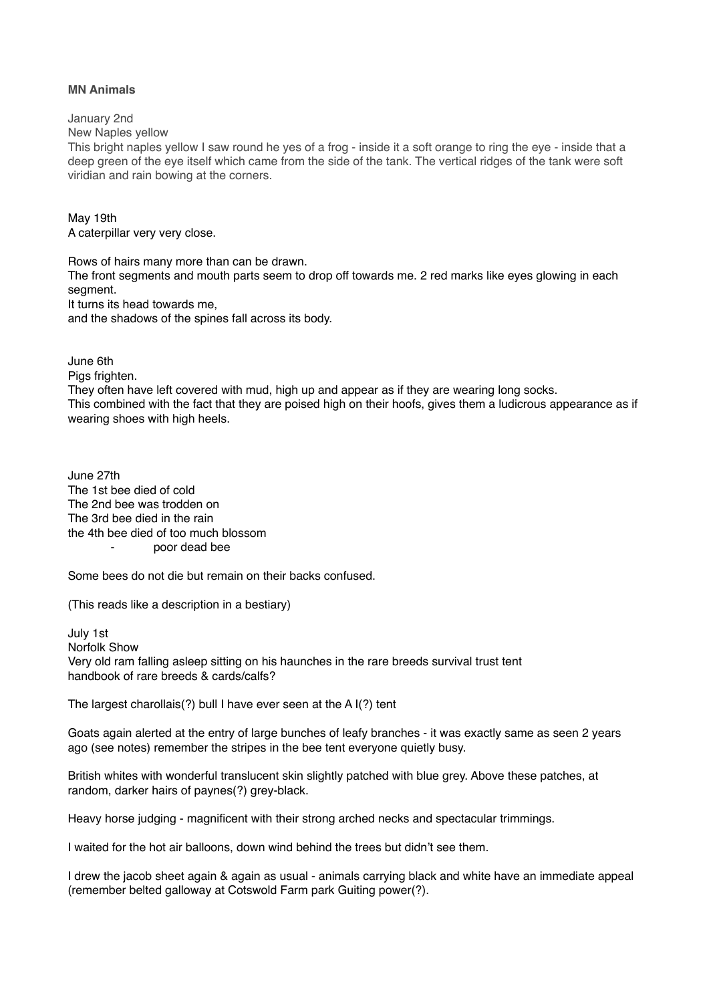## **MN Animals**

January 2nd

New Naples yellow

This bright naples yellow I saw round he yes of a frog - inside it a soft orange to ring the eye - inside that a deep green of the eye itself which came from the side of the tank. The vertical ridges of the tank were soft viridian and rain bowing at the corners.

May 19th A caterpillar very very close.

Rows of hairs many more than can be drawn. The front segments and mouth parts seem to drop off towards me. 2 red marks like eyes glowing in each segment. It turns its head towards me, and the shadows of the spines fall across its body.

June 6th Pias frighten.

They often have left covered with mud, high up and appear as if they are wearing long socks. This combined with the fact that they are poised high on their hoofs, gives them a ludicrous appearance as if wearing shoes with high heels.

June 27th The 1st bee died of cold The 2nd bee was trodden on The 3rd bee died in the rain the 4th bee died of too much blossom ⁃ poor dead bee

Some bees do not die but remain on their backs confused.

(This reads like a description in a bestiary)

July 1st Norfolk Show Very old ram falling asleep sitting on his haunches in the rare breeds survival trust tent handbook of rare breeds & cards/calfs?

The largest charollais(?) bull I have ever seen at the A I(?) tent

Goats again alerted at the entry of large bunches of leafy branches - it was exactly same as seen 2 years ago (see notes) remember the stripes in the bee tent everyone quietly busy.

British whites with wonderful translucent skin slightly patched with blue grey. Above these patches, at random, darker hairs of paynes(?) grey-black.

Heavy horse judging - magnificent with their strong arched necks and spectacular trimmings.

I waited for the hot air balloons, down wind behind the trees but didn't see them.

I drew the jacob sheet again & again as usual - animals carrying black and white have an immediate appeal (remember belted galloway at Cotswold Farm park Guiting power(?).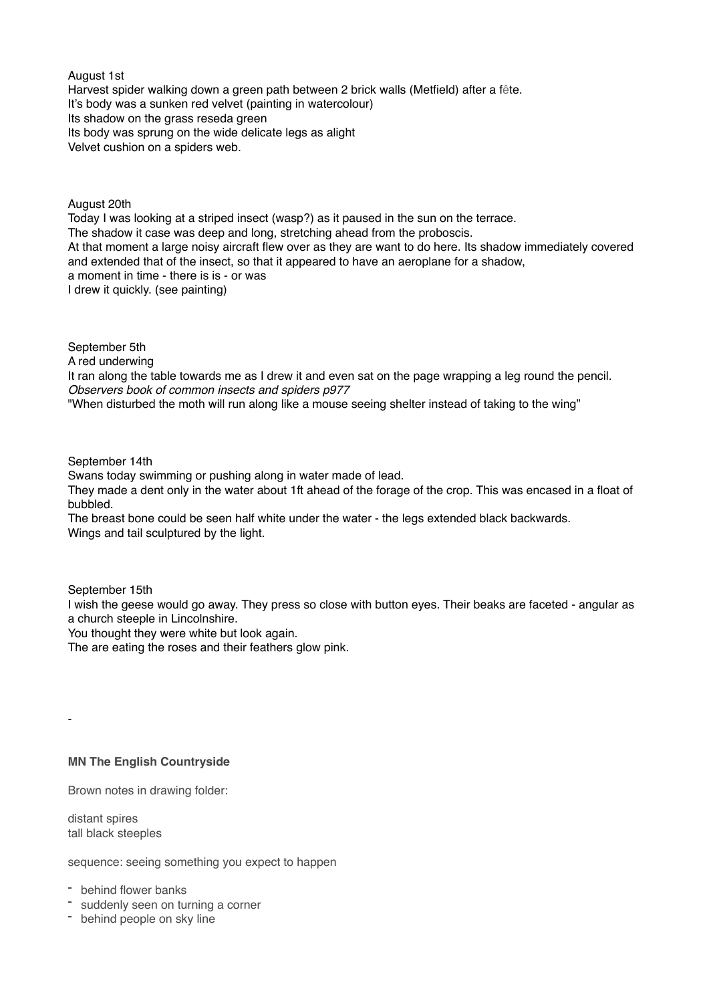August 1st Harvest spider walking down a green path between 2 brick walls (Metfield) after a fête. It's body was a sunken red velvet (painting in watercolour) Its shadow on the grass reseda green Its body was sprung on the wide delicate legs as alight Velvet cushion on a spiders web.

August 20th Today I was looking at a striped insect (wasp?) as it paused in the sun on the terrace. The shadow it case was deep and long, stretching ahead from the proboscis. At that moment a large noisy aircraft flew over as they are want to do here. Its shadow immediately covered and extended that of the insect, so that it appeared to have an aeroplane for a shadow, a moment in time - there is is - or was I drew it quickly. (see painting)

September 5th

A red underwing

It ran along the table towards me as I drew it and even sat on the page wrapping a leg round the pencil. *Observers book of common insects and spiders p977*

"When disturbed the moth will run along like a mouse seeing shelter instead of taking to the wing"

September 14th

Swans today swimming or pushing along in water made of lead.

They made a dent only in the water about 1ft ahead of the forage of the crop. This was encased in a float of bubbled.

The breast bone could be seen half white under the water - the legs extended black backwards. Wings and tail sculptured by the light.

September 15th

I wish the geese would go away. They press so close with button eyes. Their beaks are faceted - angular as a church steeple in Lincolnshire.

You thought they were white but look again.

The are eating the roses and their feathers glow pink.

# **MN The English Countryside**

Brown notes in drawing folder:

distant spires tall black steeples

-

sequence: seeing something you expect to happen

- behind flower banks

- suddenly seen on turning a corner
- behind people on sky line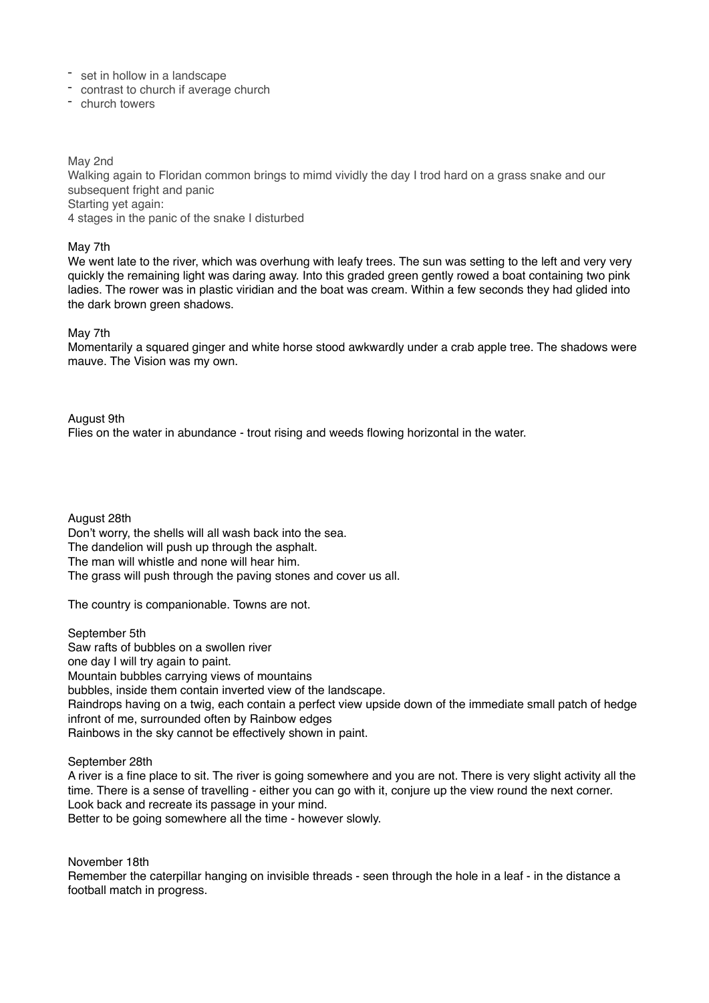- set in hollow in a landscape
- contrast to church if average church
- church towers

May 2nd Walking again to Floridan common brings to mimd vividly the day I trod hard on a grass snake and our subsequent fright and panic Starting yet again: 4 stages in the panic of the snake I disturbed

#### May 7th

We went late to the river, which was overhung with leafy trees. The sun was setting to the left and very very quickly the remaining light was daring away. Into this graded green gently rowed a boat containing two pink ladies. The rower was in plastic viridian and the boat was cream. Within a few seconds they had glided into the dark brown green shadows.

## May 7th

Momentarily a squared ginger and white horse stood awkwardly under a crab apple tree. The shadows were mauve. The Vision was my own.

August 9th Flies on the water in abundance - trout rising and weeds flowing horizontal in the water.

August 28th Don't worry, the shells will all wash back into the sea. The dandelion will push up through the asphalt. The man will whistle and none will hear him. The grass will push through the paving stones and cover us all.

The country is companionable. Towns are not.

September 5th Saw rafts of bubbles on a swollen river one day I will try again to paint. Mountain bubbles carrying views of mountains bubbles, inside them contain inverted view of the landscape. Raindrops having on a twig, each contain a perfect view upside down of the immediate small patch of hedge infront of me, surrounded often by Rainbow edges Rainbows in the sky cannot be effectively shown in paint.

September 28th

A river is a fine place to sit. The river is going somewhere and you are not. There is very slight activity all the time. There is a sense of travelling - either you can go with it, conjure up the view round the next corner. Look back and recreate its passage in your mind. Better to be going somewhere all the time - however slowly.

November 18th

Remember the caterpillar hanging on invisible threads - seen through the hole in a leaf - in the distance a football match in progress.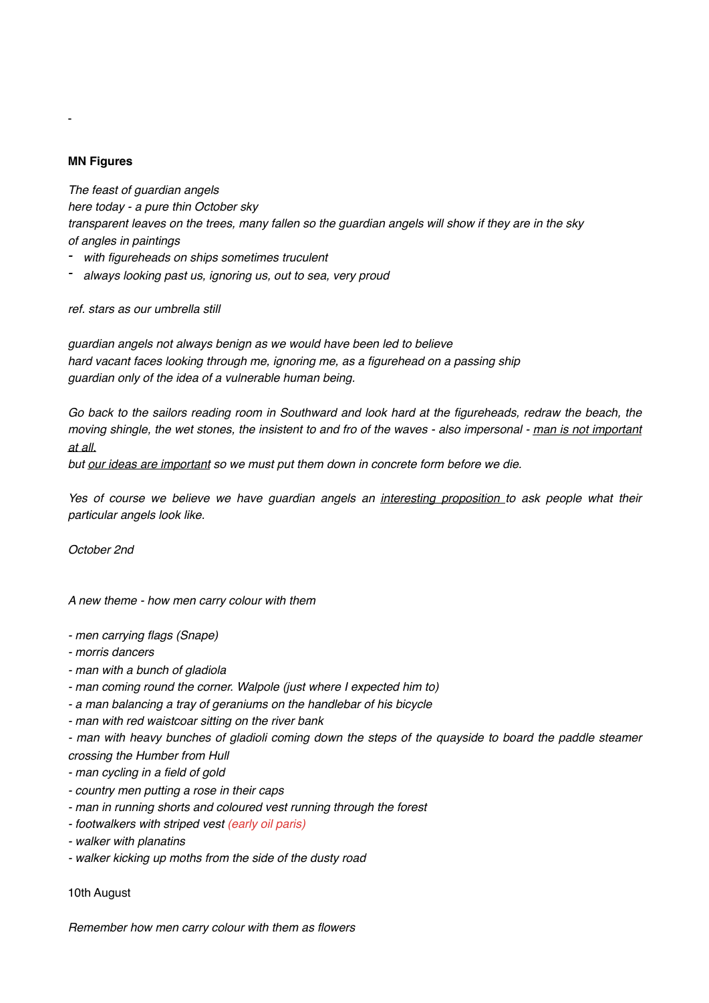# **MN Figures**

-

*The feast of guardian angels here today - a pure thin October sky transparent leaves on the trees, many fallen so the guardian angels will show if they are in the sky of angles in paintings*

- *- with figureheads on ships sometimes truculent*
- *- always looking past us, ignoring us, out to sea, very proud*

*ref. stars as our umbrella still*

*guardian angels not always benign as we would have been led to believe hard vacant faces looking through me, ignoring me, as a figurehead on a passing ship guardian only of the idea of a vulnerable human being.*

Go back to the sailors reading room in Southward and look hard at the figureheads, redraw the beach, the *moving shingle, the wet stones, the insistent to and fro of the waves - also impersonal - man is not important at all.* 

*but our ideas are important so we must put them down in concrete form before we die.*

*Yes of course we believe we have guardian angels an interesting proposition to ask people what their particular angels look like.* 

*October 2nd*

*A new theme - how men carry colour with them*

- *men carrying flags (Snape)*
- *morris dancers*
- *man with a bunch of gladiola*
- *man coming round the corner. Walpole (just where I expected him to)*
- *a man balancing a tray of geraniums on the handlebar of his bicycle*
- *man with red waistcoar sitting on the river bank*

*- man with heavy bunches of gladioli coming down the steps of the quayside to board the paddle steamer crossing the Humber from Hull*

*- man cycling in a field of gold*

- *country men putting a rose in their caps*
- *man in running shorts and coloured vest running through the forest*
- *footwalkers with striped vest (early oil paris)*
- *walker with planatins*
- *walker kicking up moths from the side of the dusty road*

10th August

*Remember how men carry colour with them as flowers*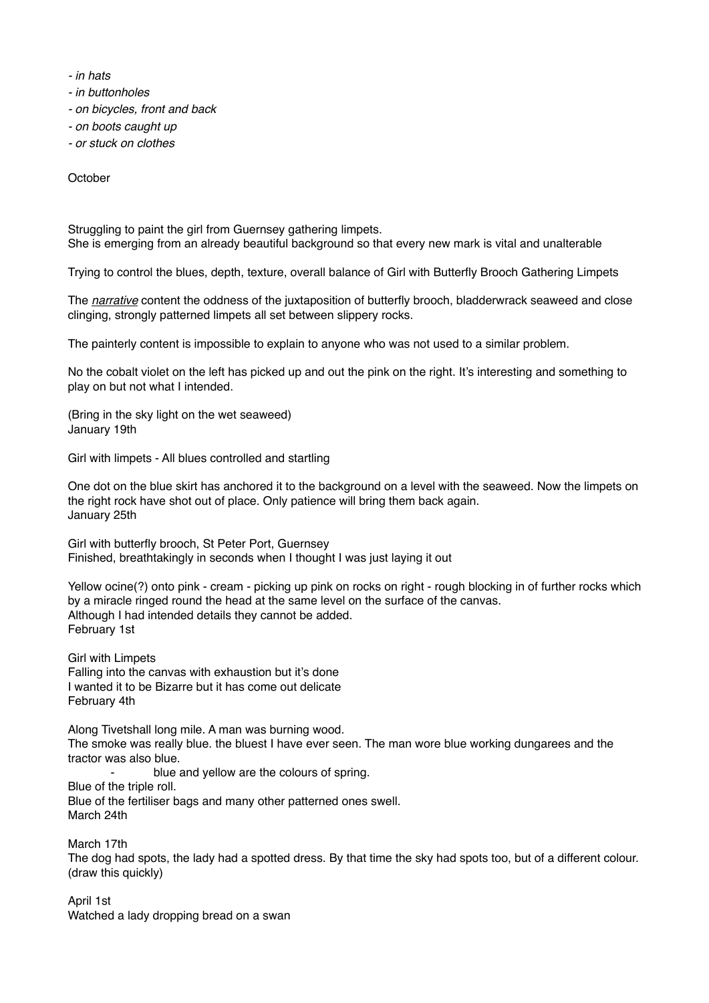*- in hats*

*- in buttonholes*

*- on bicycles, front and back*

*- on boots caught up*

*- or stuck on clothes*

**October** 

Struggling to paint the girl from Guernsey gathering limpets. She is emerging from an already beautiful background so that every new mark is vital and unalterable

Trying to control the blues, depth, texture, overall balance of Girl with Butterfly Brooch Gathering Limpets

The *narrative* content the oddness of the juxtaposition of butterfly brooch, bladderwrack seaweed and close clinging, strongly patterned limpets all set between slippery rocks.

The painterly content is impossible to explain to anyone who was not used to a similar problem.

No the cobalt violet on the left has picked up and out the pink on the right. It's interesting and something to play on but not what I intended.

(Bring in the sky light on the wet seaweed) January 19th

Girl with limpets - All blues controlled and startling

One dot on the blue skirt has anchored it to the background on a level with the seaweed. Now the limpets on the right rock have shot out of place. Only patience will bring them back again. January 25th

Girl with butterfly brooch, St Peter Port, Guernsey Finished, breathtakingly in seconds when I thought I was just laying it out

Yellow ocine(?) onto pink - cream - picking up pink on rocks on right - rough blocking in of further rocks which by a miracle ringed round the head at the same level on the surface of the canvas. Although I had intended details they cannot be added. February 1st

Girl with Limpets Falling into the canvas with exhaustion but it's done I wanted it to be Bizarre but it has come out delicate February 4th

Along Tivetshall long mile. A man was burning wood. The smoke was really blue. the bluest I have ever seen. The man wore blue working dungarees and the tractor was also blue.

blue and yellow are the colours of spring. Blue of the triple roll. Blue of the fertiliser bags and many other patterned ones swell. March 24th

March 17th The dog had spots, the lady had a spotted dress. By that time the sky had spots too, but of a different colour. (draw this quickly)

April 1st Watched a lady dropping bread on a swan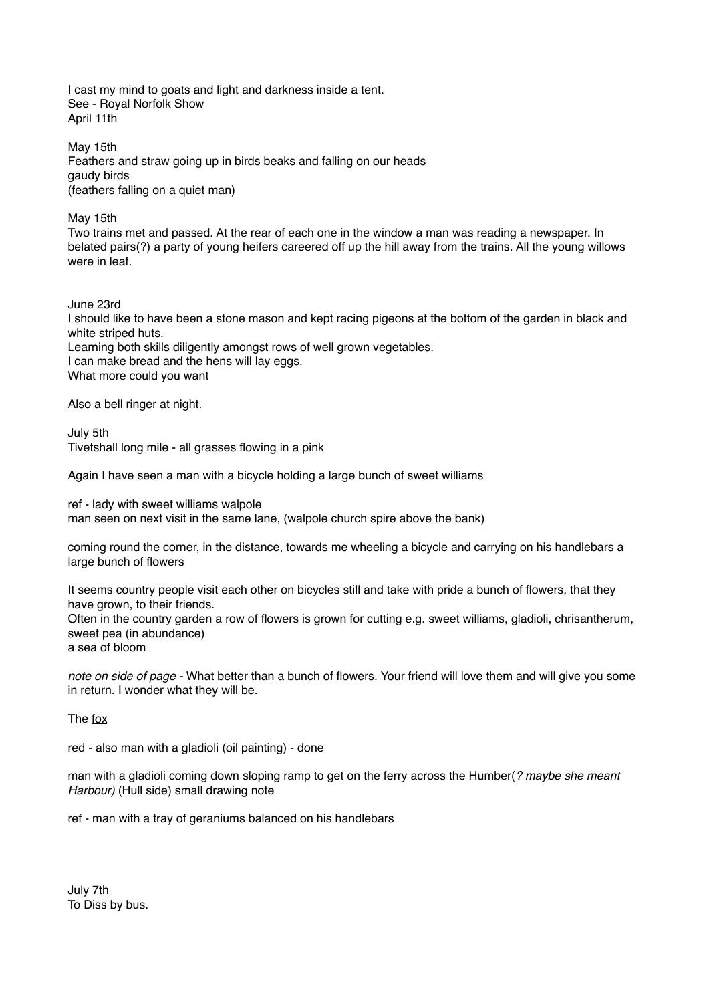I cast my mind to goats and light and darkness inside a tent. See - Royal Norfolk Show April 11th

May 15th Feathers and straw going up in birds beaks and falling on our heads gaudy birds (feathers falling on a quiet man)

May 15th

Two trains met and passed. At the rear of each one in the window a man was reading a newspaper. In belated pairs(?) a party of young heifers careered off up the hill away from the trains. All the young willows were in leaf.

June 23rd

I should like to have been a stone mason and kept racing pigeons at the bottom of the garden in black and white striped huts.

Learning both skills diligently amongst rows of well grown vegetables. I can make bread and the hens will lay eggs.

What more could you want

Also a bell ringer at night.

July 5th Tivetshall long mile - all grasses flowing in a pink

Again I have seen a man with a bicycle holding a large bunch of sweet williams

ref - lady with sweet williams walpole man seen on next visit in the same lane, (walpole church spire above the bank)

coming round the corner, in the distance, towards me wheeling a bicycle and carrying on his handlebars a large bunch of flowers

It seems country people visit each other on bicycles still and take with pride a bunch of flowers, that they have grown, to their friends. Often in the country garden a row of flowers is grown for cutting e.g. sweet williams, gladioli, chrisantherum, sweet pea (in abundance) a sea of bloom

*note on side of page -* What better than a bunch of flowers. Your friend will love them and will give you some in return. I wonder what they will be.

The fox

red - also man with a gladioli (oil painting) - done

man with a gladioli coming down sloping ramp to get on the ferry across the Humber(*? maybe she meant Harbour)* (Hull side) small drawing note

ref - man with a tray of geraniums balanced on his handlebars

July 7th To Diss by bus.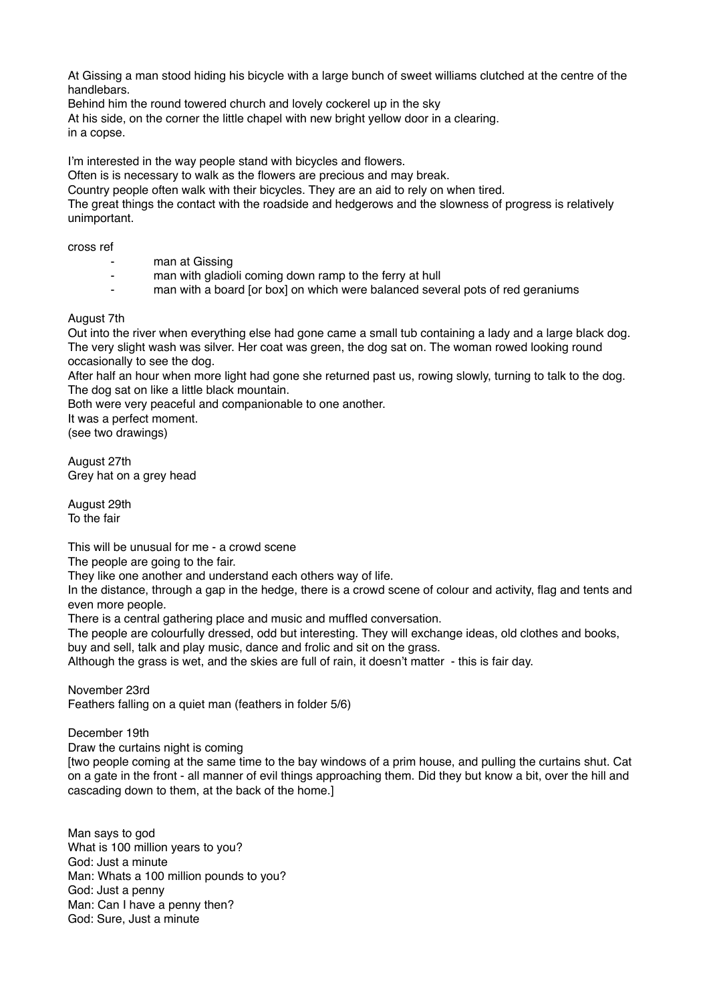At Gissing a man stood hiding his bicycle with a large bunch of sweet williams clutched at the centre of the handlebars.

Behind him the round towered church and lovely cockerel up in the sky

At his side, on the corner the little chapel with new bright yellow door in a clearing.

in a copse.

I'm interested in the way people stand with bicycles and flowers.

Often is is necessary to walk as the flowers are precious and may break.

Country people often walk with their bicycles. They are an aid to rely on when tired.

The great things the contact with the roadside and hedgerows and the slowness of progress is relatively unimportant.

cross ref

- man at Gissing
- man with gladioli coming down ramp to the ferry at hull
- man with a board [or box] on which were balanced several pots of red geraniums

## August 7th

Out into the river when everything else had gone came a small tub containing a lady and a large black dog. The very slight wash was silver. Her coat was green, the dog sat on. The woman rowed looking round occasionally to see the dog.

After half an hour when more light had gone she returned past us, rowing slowly, turning to talk to the dog. The dog sat on like a little black mountain.

Both were very peaceful and companionable to one another.

It was a perfect moment.

(see two drawings)

August 27th Grey hat on a grey head

August 29th To the fair

This will be unusual for me - a crowd scene

The people are going to the fair.

They like one another and understand each others way of life.

In the distance, through a gap in the hedge, there is a crowd scene of colour and activity, flag and tents and even more people.

There is a central gathering place and music and muffled conversation.

The people are colourfully dressed, odd but interesting. They will exchange ideas, old clothes and books, buy and sell, talk and play music, dance and frolic and sit on the grass.

Although the grass is wet, and the skies are full of rain, it doesn't matter - this is fair day.

November 23rd Feathers falling on a quiet man (feathers in folder 5/6)

December 19th

Draw the curtains night is coming

[two people coming at the same time to the bay windows of a prim house, and pulling the curtains shut. Cat on a gate in the front - all manner of evil things approaching them. Did they but know a bit, over the hill and cascading down to them, at the back of the home.]

Man says to god What is 100 million years to you? God: Just a minute Man: Whats a 100 million pounds to you? God: Just a penny Man: Can I have a penny then? God: Sure, Just a minute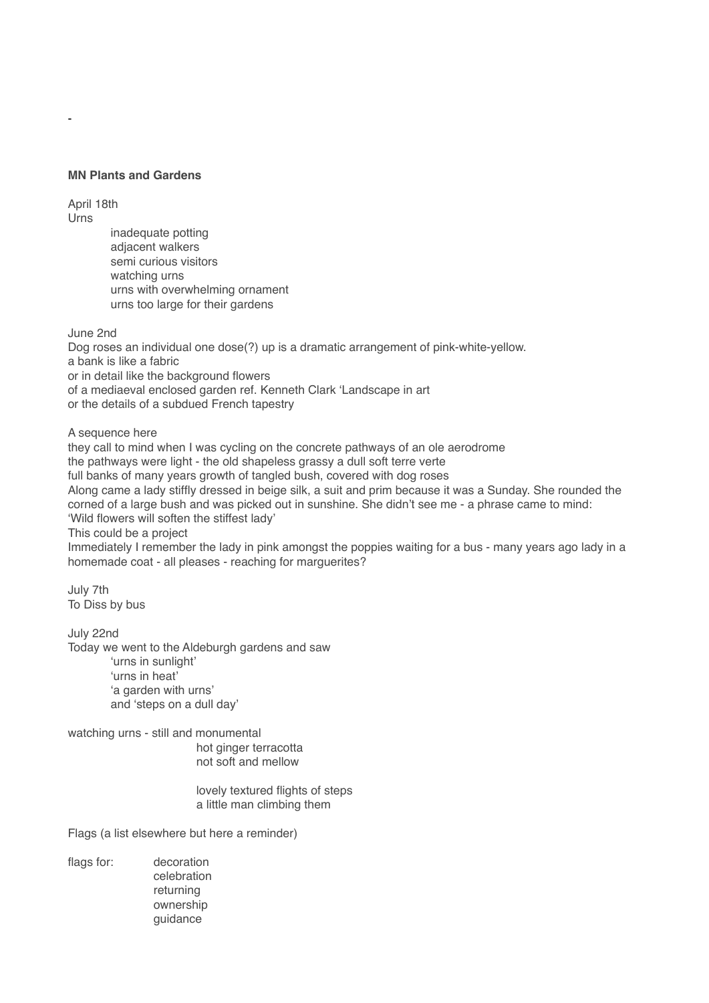# **MN Plants and Gardens**

April 18th Urns

-

inadequate potting adjacent walkers semi curious visitors watching urns urns with overwhelming ornament urns too large for their gardens

June 2nd

Dog roses an individual one dose(?) up is a dramatic arrangement of pink-white-yellow. a bank is like a fabric or in detail like the background flowers of a mediaeval enclosed garden ref. Kenneth Clark 'Landscape in art or the details of a subdued French tapestry

A sequence here

they call to mind when I was cycling on the concrete pathways of an ole aerodrome the pathways were light - the old shapeless grassy a dull soft terre verte full banks of many years growth of tangled bush, covered with dog roses Along came a lady stiffly dressed in beige silk, a suit and prim because it was a Sunday. She rounded the corned of a large bush and was picked out in sunshine. She didn't see me - a phrase came to mind: 'Wild flowers will soften the stiffest lady'

This could be a project

Immediately I remember the lady in pink amongst the poppies waiting for a bus - many years ago lady in a homemade coat - all pleases - reaching for marguerites?

July 7th To Diss by bus

July 22nd Today we went to the Aldeburgh gardens and saw 'urns in sunlight' 'urns in heat' 'a garden with urns' and 'steps on a dull day'

watching urns - still and monumental hot ginger terracotta not soft and mellow

> lovely textured flights of steps a little man climbing them

Flags (a list elsewhere but here a reminder)

flags for: decoration celebration returning ownership guidance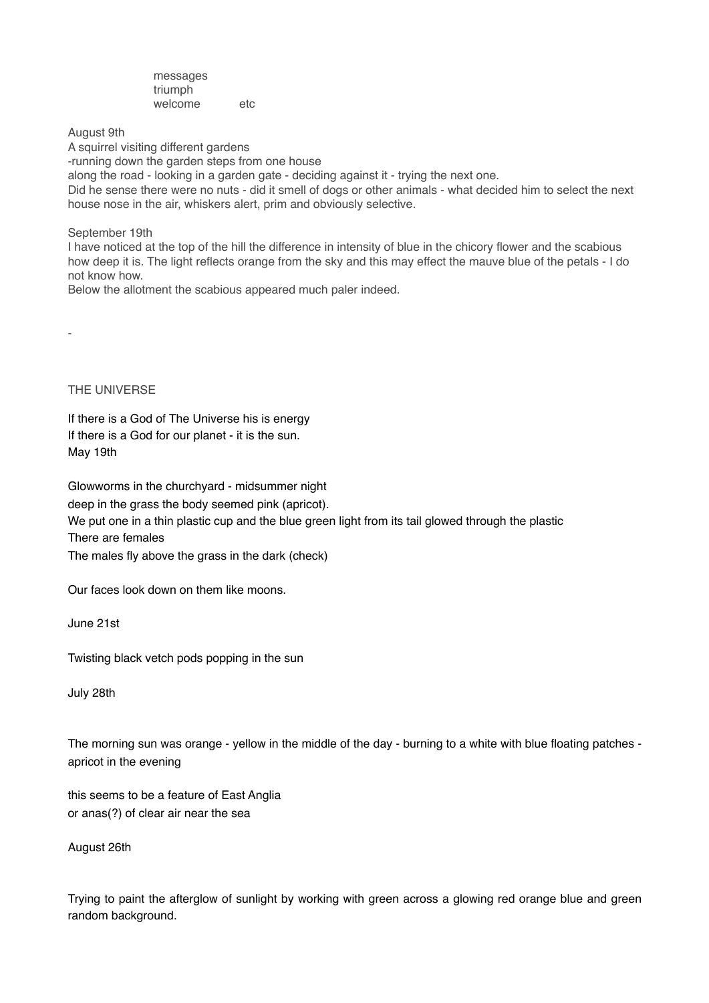messages triumph welcome etc

August 9th

A squirrel visiting different gardens

-running down the garden steps from one house

along the road - looking in a garden gate - deciding against it - trying the next one.

Did he sense there were no nuts - did it smell of dogs or other animals - what decided him to select the next house nose in the air, whiskers alert, prim and obviously selective.

September 19th

I have noticed at the top of the hill the difference in intensity of blue in the chicory flower and the scabious how deep it is. The light reflects orange from the sky and this may effect the mauve blue of the petals - I do not know how.

Below the allotment the scabious appeared much paler indeed.

THE UNIVERSE

-

If there is a God of The Universe his is energy If there is a God for our planet - it is the sun. May 19th

Glowworms in the churchyard - midsummer night

deep in the grass the body seemed pink (apricot).

We put one in a thin plastic cup and the blue green light from its tail glowed through the plastic

There are females

The males fly above the grass in the dark (check)

Our faces look down on them like moons.

June 21st

Twisting black vetch pods popping in the sun

July 28th

The morning sun was orange - yellow in the middle of the day - burning to a white with blue floating patches apricot in the evening

this seems to be a feature of East Anglia or anas(?) of clear air near the sea

August 26th

Trying to paint the afterglow of sunlight by working with green across a glowing red orange blue and green random background.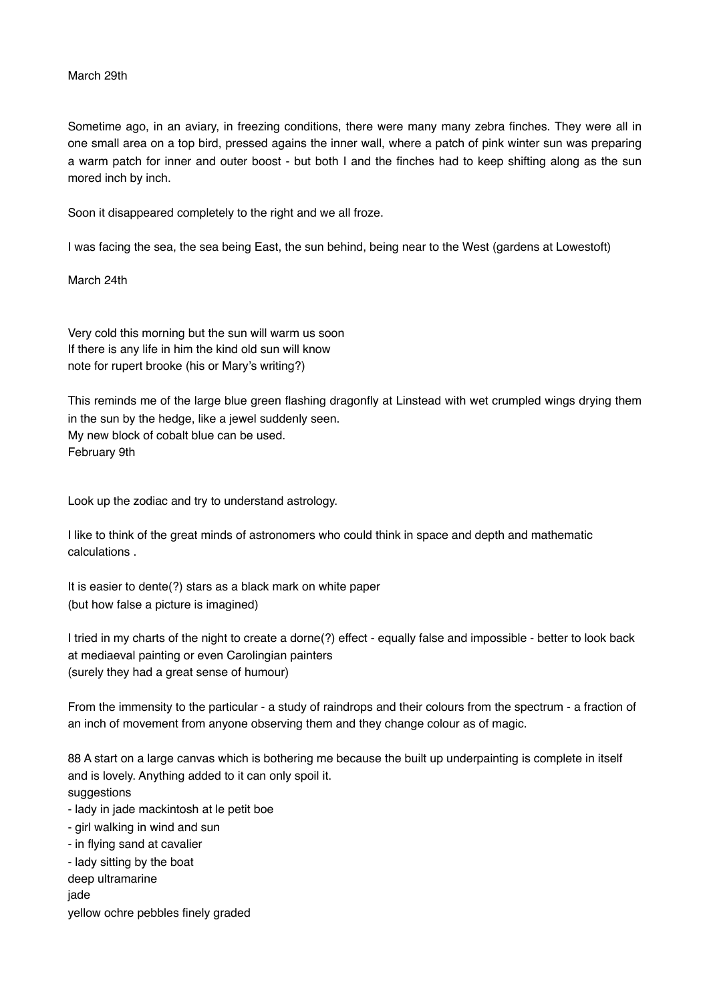## March 29th

Sometime ago, in an aviary, in freezing conditions, there were many many zebra finches. They were all in one small area on a top bird, pressed agains the inner wall, where a patch of pink winter sun was preparing a warm patch for inner and outer boost - but both I and the finches had to keep shifting along as the sun mored inch by inch.

Soon it disappeared completely to the right and we all froze.

I was facing the sea, the sea being East, the sun behind, being near to the West (gardens at Lowestoft)

March 24th

Very cold this morning but the sun will warm us soon If there is any life in him the kind old sun will know note for rupert brooke (his or Mary's writing?)

This reminds me of the large blue green flashing dragonfly at Linstead with wet crumpled wings drying them in the sun by the hedge, like a jewel suddenly seen. My new block of cobalt blue can be used. February 9th

Look up the zodiac and try to understand astrology.

I like to think of the great minds of astronomers who could think in space and depth and mathematic calculations .

It is easier to dente(?) stars as a black mark on white paper (but how false a picture is imagined)

I tried in my charts of the night to create a dorne(?) effect - equally false and impossible - better to look back at mediaeval painting or even Carolingian painters (surely they had a great sense of humour)

From the immensity to the particular - a study of raindrops and their colours from the spectrum - a fraction of an inch of movement from anyone observing them and they change colour as of magic.

88 A start on a large canvas which is bothering me because the built up underpainting is complete in itself and is lovely. Anything added to it can only spoil it. suggestions - lady in jade mackintosh at le petit boe - girl walking in wind and sun - in flying sand at cavalier - lady sitting by the boat deep ultramarine jade yellow ochre pebbles finely graded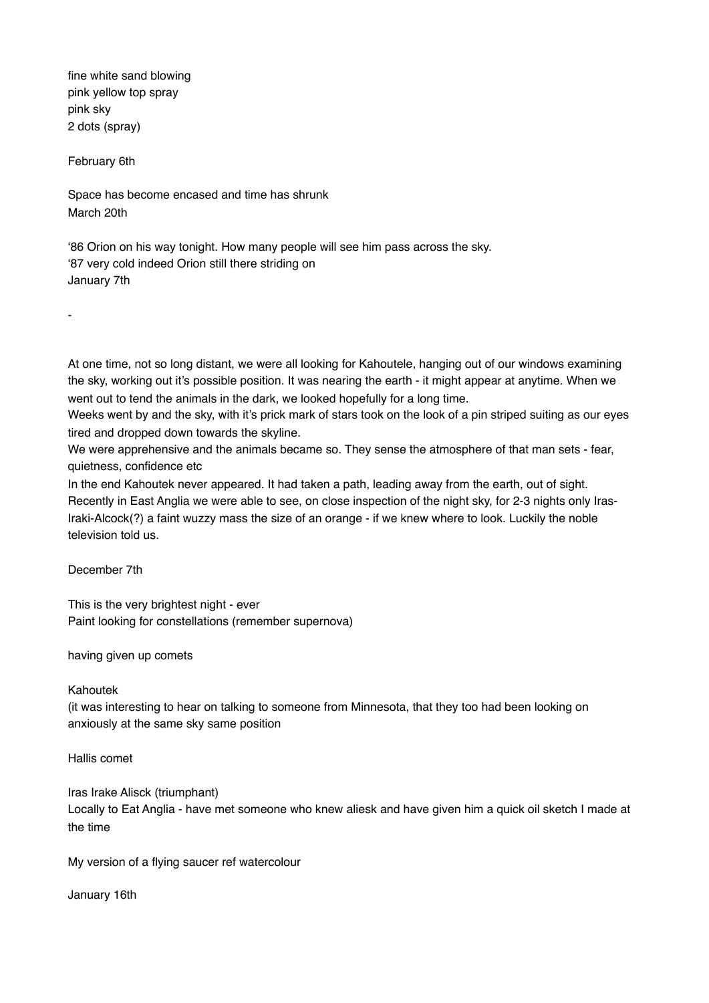fine white sand blowing pink yellow top spray pink sky 2 dots (spray)

February 6th

-

Space has become encased and time has shrunk March 20th

'86 Orion on his way tonight. How many people will see him pass across the sky. '87 very cold indeed Orion still there striding on January 7th

At one time, not so long distant, we were all looking for Kahoutele, hanging out of our windows examining the sky, working out it's possible position. It was nearing the earth - it might appear at anytime. When we went out to tend the animals in the dark, we looked hopefully for a long time.

Weeks went by and the sky, with it's prick mark of stars took on the look of a pin striped suiting as our eyes tired and dropped down towards the skyline.

We were apprehensive and the animals became so. They sense the atmosphere of that man sets - fear, quietness, confidence etc

In the end Kahoutek never appeared. It had taken a path, leading away from the earth, out of sight. Recently in East Anglia we were able to see, on close inspection of the night sky, for 2-3 nights only Iras-Iraki-Alcock(?) a faint wuzzy mass the size of an orange - if we knew where to look. Luckily the noble television told us.

December 7th

This is the very brightest night - ever Paint looking for constellations (remember supernova)

having given up comets

#### Kahoutek

(it was interesting to hear on talking to someone from Minnesota, that they too had been looking on anxiously at the same sky same position

Hallis comet

Iras Irake Alisck (triumphant) Locally to Eat Anglia - have met someone who knew aliesk and have given him a quick oil sketch I made at the time

My version of a flying saucer ref watercolour

January 16th